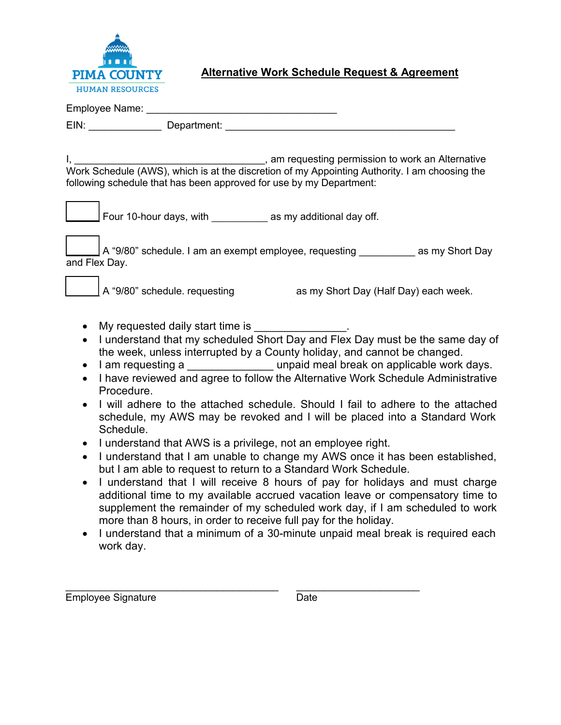

## **Alternative Work Schedule Request & Agreement**

| EIN: Department:                                                                                                                                                                                                                                                                                                                                                                                                                                                                                                                                                                                                                                                                                                                                                                                                                                                                                                                                                                                                                                                                                                                                                                                                                                                                                                        |
|-------------------------------------------------------------------------------------------------------------------------------------------------------------------------------------------------------------------------------------------------------------------------------------------------------------------------------------------------------------------------------------------------------------------------------------------------------------------------------------------------------------------------------------------------------------------------------------------------------------------------------------------------------------------------------------------------------------------------------------------------------------------------------------------------------------------------------------------------------------------------------------------------------------------------------------------------------------------------------------------------------------------------------------------------------------------------------------------------------------------------------------------------------------------------------------------------------------------------------------------------------------------------------------------------------------------------|
| _______________, am requesting permission to work an Alternative<br>following schedule that has been approved for use by my Department:                                                                                                                                                                                                                                                                                                                                                                                                                                                                                                                                                                                                                                                                                                                                                                                                                                                                                                                                                                                                                                                                                                                                                                                 |
| Four 10-hour days, with as my additional day off.                                                                                                                                                                                                                                                                                                                                                                                                                                                                                                                                                                                                                                                                                                                                                                                                                                                                                                                                                                                                                                                                                                                                                                                                                                                                       |
| ┃A "9/80" schedule. I am an exempt employee, requesting __________ as my Short Day<br>and Flex Day.                                                                                                                                                                                                                                                                                                                                                                                                                                                                                                                                                                                                                                                                                                                                                                                                                                                                                                                                                                                                                                                                                                                                                                                                                     |
| A "9/80" schedule. requesting as my Short Day (Half Day) each week.                                                                                                                                                                                                                                                                                                                                                                                                                                                                                                                                                                                                                                                                                                                                                                                                                                                                                                                                                                                                                                                                                                                                                                                                                                                     |
| My requested daily start time is __________________.<br>I understand that my scheduled Short Day and Flex Day must be the same day of<br>$\bullet$<br>$\bullet$<br>the week, unless interrupted by a County holiday, and cannot be changed.<br>I am requesting a ____________________ unpaid meal break on applicable work days.<br>$\bullet$<br>I have reviewed and agree to follow the Alternative Work Schedule Administrative<br>$\bullet$<br>Procedure.<br>I will adhere to the attached schedule. Should I fail to adhere to the attached<br>$\bullet$<br>schedule, my AWS may be revoked and I will be placed into a Standard Work<br>Schedule.<br>I understand that AWS is a privilege, not an employee right.<br>$\bullet$<br>I understand that I am unable to change my AWS once it has been established,<br>$\bullet$<br>but I am able to request to return to a Standard Work Schedule.<br>I understand that I will receive 8 hours of pay for holidays and must charge<br>additional time to my available accrued vacation leave or compensatory time to<br>supplement the remainder of my scheduled work day, if I am scheduled to work<br>more than 8 hours, in order to receive full pay for the holiday.<br>I understand that a minimum of a 30-minute unpaid meal break is required each<br>work day. |

 $\_$  , and the set of the set of the set of the set of the set of the set of the set of the set of the set of the set of the set of the set of the set of the set of the set of the set of the set of the set of the set of th Employee Signature Date